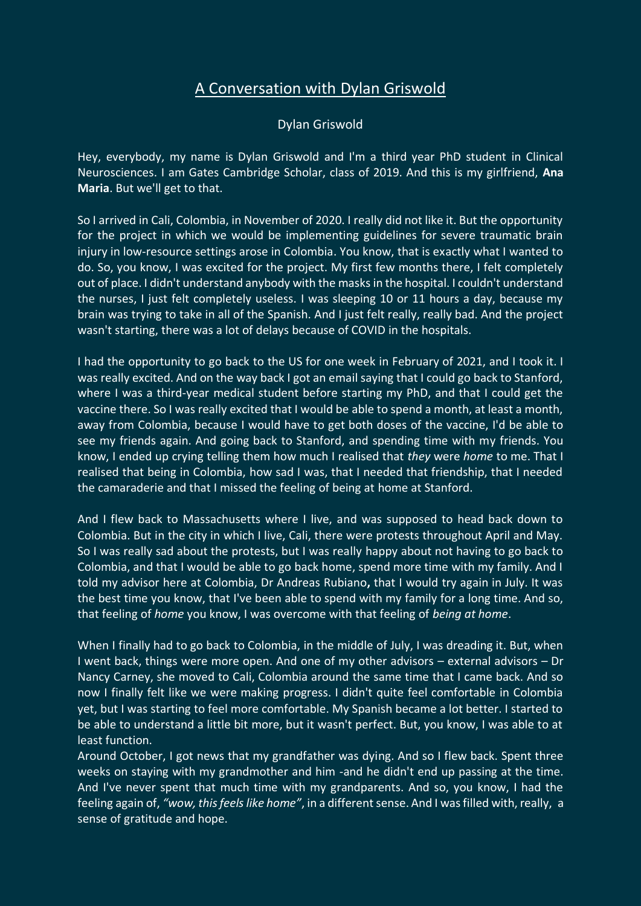## A Conversation with Dylan Griswold

## Dylan Griswold

Hey, everybody, my name is Dylan Griswold and I'm a third year PhD student in Clinical Neurosciences. I am Gates Cambridge Scholar, class of 2019. And this is my girlfriend, **Ana Maria**. But we'll get to that.

So I arrived in Cali, Colombia, in November of 2020. I really did not like it. But the opportunity for the project in which we would be implementing guidelines for severe traumatic brain injury in low-resource settings arose in Colombia. You know, that is exactly what I wanted to do. So, you know, I was excited for the project. My first few months there, I felt completely out of place. I didn't understand anybody with the masks in the hospital. I couldn't understand the nurses, I just felt completely useless. I was sleeping 10 or 11 hours a day, because my brain was trying to take in all of the Spanish. And I just felt really, really bad. And the project wasn't starting, there was a lot of delays because of COVID in the hospitals.

I had the opportunity to go back to the US for one week in February of 2021, and I took it. I was really excited. And on the way back I got an email saying that I could go back to Stanford, where I was a third-year medical student before starting my PhD, and that I could get the vaccine there. So I was really excited that I would be able to spend a month, at least a month, away from Colombia, because I would have to get both doses of the vaccine, I'd be able to see my friends again. And going back to Stanford, and spending time with my friends. You know, I ended up crying telling them how much I realised that *they* were *home* to me. That I realised that being in Colombia, how sad I was, that I needed that friendship, that I needed the camaraderie and that I missed the feeling of being at home at Stanford.

And I flew back to Massachusetts where I live, and was supposed to head back down to Colombia. But in the city in which I live, Cali, there were protests throughout April and May. So I was really sad about the protests, but I was really happy about not having to go back to Colombia, and that I would be able to go back home, spend more time with my family. And I told my advisor here at Colombia, Dr Andreas Rubiano**,** that I would try again in July. It was the best time you know, that I've been able to spend with my family for a long time. And so, that feeling of *home* you know, I was overcome with that feeling of *being at home*.

When I finally had to go back to Colombia, in the middle of July, I was dreading it. But, when I went back, things were more open. And one of my other advisors – external advisors – Dr Nancy Carney, she moved to Cali, Colombia around the same time that I came back. And so now I finally felt like we were making progress. I didn't quite feel comfortable in Colombia yet, but I was starting to feel more comfortable. My Spanish became a lot better. I started to be able to understand a little bit more, but it wasn't perfect. But, you know, I was able to at least function.

Around October, I got news that my grandfather was dying. And so I flew back. Spent three weeks on staying with my grandmother and him -and he didn't end up passing at the time. And I've never spent that much time with my grandparents. And so, you know, I had the feeling again of, *"wow, this feels like home"*, in a different sense. And I was filled with, really, a sense of gratitude and hope.